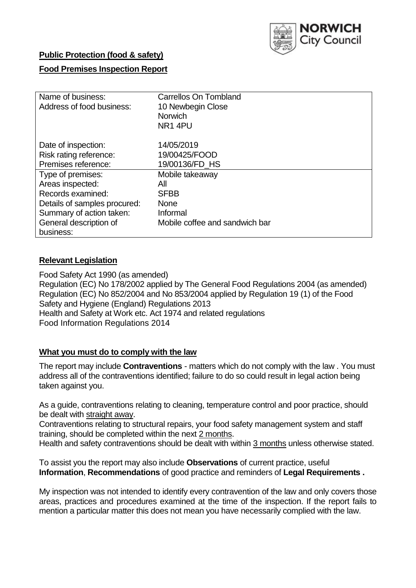

# **Public Protection (food & safety)**

# **Food Premises Inspection Report**

| Name of business:            | <b>Carrellos On Tombland</b>   |  |  |  |  |
|------------------------------|--------------------------------|--|--|--|--|
| Address of food business:    | 10 Newbegin Close              |  |  |  |  |
|                              | <b>Norwich</b>                 |  |  |  |  |
|                              | NR1 4PU                        |  |  |  |  |
|                              |                                |  |  |  |  |
| Date of inspection:          | 14/05/2019                     |  |  |  |  |
| Risk rating reference:       | 19/00425/FOOD                  |  |  |  |  |
| Premises reference:          | 19/00136/FD HS                 |  |  |  |  |
| Type of premises:            | Mobile takeaway                |  |  |  |  |
| Areas inspected:             | All                            |  |  |  |  |
| Records examined:            | <b>SFBB</b>                    |  |  |  |  |
| Details of samples procured: | <b>None</b>                    |  |  |  |  |
| Summary of action taken:     | Informal                       |  |  |  |  |
| General description of       | Mobile coffee and sandwich bar |  |  |  |  |
| business:                    |                                |  |  |  |  |

# **Relevant Legislation**

Food Safety Act 1990 (as amended) Regulation (EC) No 178/2002 applied by The General Food Regulations 2004 (as amended) Regulation (EC) No 852/2004 and No 853/2004 applied by Regulation 19 (1) of the Food Safety and Hygiene (England) Regulations 2013 Health and Safety at Work etc. Act 1974 and related regulations Food Information Regulations 2014

## **What you must do to comply with the law**

The report may include **Contraventions** - matters which do not comply with the law . You must address all of the contraventions identified; failure to do so could result in legal action being taken against you.

As a guide, contraventions relating to cleaning, temperature control and poor practice, should be dealt with straight away.

Contraventions relating to structural repairs, your food safety management system and staff training, should be completed within the next 2 months.

Health and safety contraventions should be dealt with within 3 months unless otherwise stated.

To assist you the report may also include **Observations** of current practice, useful **Information**, **Recommendations** of good practice and reminders of **Legal Requirements .**

My inspection was not intended to identify every contravention of the law and only covers those areas, practices and procedures examined at the time of the inspection. If the report fails to mention a particular matter this does not mean you have necessarily complied with the law.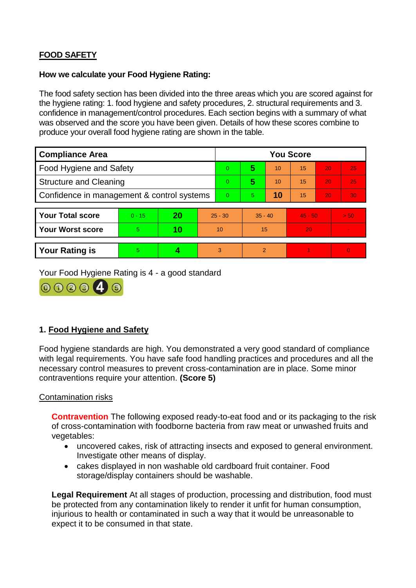# **FOOD SAFETY**

## **How we calculate your Food Hygiene Rating:**

The food safety section has been divided into the three areas which you are scored against for the hygiene rating: 1. food hygiene and safety procedures, 2. structural requirements and 3. confidence in management/control procedures. Each section begins with a summary of what was observed and the score you have been given. Details of how these scores combine to produce your overall food hygiene rating are shown in the table.

| <b>Compliance Area</b>                     |          |    |           | <b>You Score</b> |                |    |           |    |          |  |  |
|--------------------------------------------|----------|----|-----------|------------------|----------------|----|-----------|----|----------|--|--|
| Food Hygiene and Safety                    |          |    |           | $\Omega$         | 5              | 10 | 15        | 20 | 25       |  |  |
| <b>Structure and Cleaning</b>              |          |    |           | $\Omega$         | 5              | 10 | 15        | 20 | 25       |  |  |
| Confidence in management & control systems |          |    |           | $\Omega$         | 5              | 10 | 15        | 20 | 30       |  |  |
|                                            |          |    |           |                  |                |    |           |    |          |  |  |
| <b>Your Total score</b>                    | $0 - 15$ | 20 | $25 - 30$ |                  | $35 - 40$      |    | $45 - 50$ |    | > 50     |  |  |
| <b>Your Worst score</b>                    | 5        | 10 | 10        |                  | 15             |    | 20        |    |          |  |  |
|                                            |          |    |           |                  |                |    |           |    |          |  |  |
| <b>Your Rating is</b>                      | 5        |    |           | 3                | $\overline{2}$ |    |           |    | $\Omega$ |  |  |

Your Food Hygiene Rating is 4 - a good standard



# **1. Food Hygiene and Safety**

Food hygiene standards are high. You demonstrated a very good standard of compliance with legal requirements. You have safe food handling practices and procedures and all the necessary control measures to prevent cross-contamination are in place. Some minor contraventions require your attention. **(Score 5)**

## Contamination risks

**Contravention** The following exposed ready-to-eat food and or its packaging to the risk of cross-contamination with foodborne bacteria from raw meat or unwashed fruits and vegetables:

- uncovered cakes, risk of attracting insects and exposed to general environment. Investigate other means of display.
- cakes displayed in non washable old cardboard fruit container. Food storage/display containers should be washable.

**Legal Requirement** At all stages of production, processing and distribution, food must be protected from any contamination likely to render it unfit for human consumption, injurious to health or contaminated in such a way that it would be unreasonable to expect it to be consumed in that state.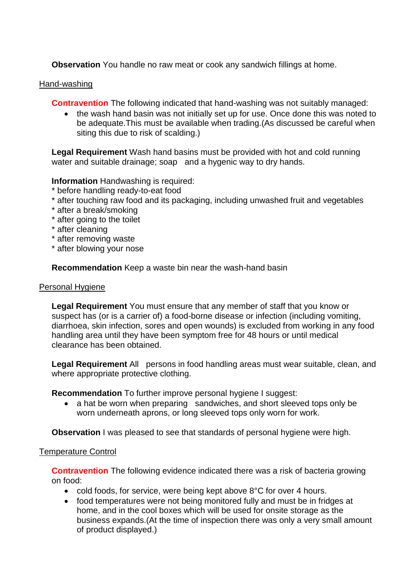**Observation** You handle no raw meat or cook any sandwich fillings at home.

## Hand-washing

**Contravention** The following indicated that hand-washing was not suitably managed:

• the wash hand basin was not initially set up for use. Once done this was noted to be adequate.This must be available when trading.(As discussed be careful when siting this due to risk of scalding.)

**Legal Requirement** Wash hand basins must be provided with hot and cold running water and suitable drainage; soap and a hygenic way to dry hands.

## **Information** Handwashing is required:

- \* before handling ready-to-eat food
- \* after touching raw food and its packaging, including unwashed fruit and vegetables
- \* after a break/smoking
- \* after going to the toilet
- \* after cleaning
- \* after removing waste
- \* after blowing your nose

**Recommendation** Keep a waste bin near the wash-hand basin

#### Personal Hygiene

**Legal Requirement** You must ensure that any member of staff that you know or suspect has (or is a carrier of) a food-borne disease or infection (including vomiting, diarrhoea, skin infection, sores and open wounds) is excluded from working in any food handling area until they have been symptom free for 48 hours or until medical clearance has been obtained.

**Legal Requirement** All persons in food handling areas must wear suitable, clean, and where appropriate protective clothing.

**Recommendation** To further improve personal hygiene I suggest:

• a hat be worn when preparing sandwiches, and short sleeved tops only be worn underneath aprons, or long sleeved tops only worn for work.

**Observation** I was pleased to see that standards of personal hygiene were high.

#### Temperature Control

**Contravention** The following evidence indicated there was a risk of bacteria growing on food:

- cold foods, for service, were being kept above 8°C for over 4 hours.
- food temperatures were not being monitored fully and must be in fridges at home, and in the cool boxes which will be used for onsite storage as the business expands.(At the time of inspection there was only a very small amount of product displayed.)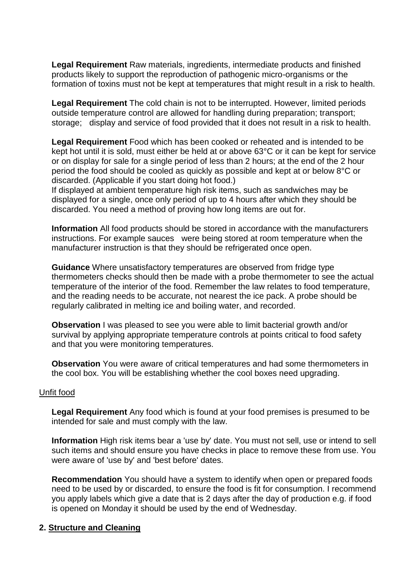**Legal Requirement** Raw materials, ingredients, intermediate products and finished products likely to support the reproduction of pathogenic micro-organisms or the formation of toxins must not be kept at temperatures that might result in a risk to health.

**Legal Requirement** The cold chain is not to be interrupted. However, limited periods outside temperature control are allowed for handling during preparation; transport; storage; display and service of food provided that it does not result in a risk to health.

**Legal Requirement** Food which has been cooked or reheated and is intended to be kept hot until it is sold, must either be held at or above 63°C or it can be kept for service or on display for sale for a single period of less than 2 hours; at the end of the 2 hour period the food should be cooled as quickly as possible and kept at or below 8°C or discarded. (Applicable if you start doing hot food.)

If displayed at ambient temperature high risk items, such as sandwiches may be displayed for a single, once only period of up to 4 hours after which they should be discarded. You need a method of proving how long items are out for.

**Information** All food products should be stored in accordance with the manufacturers instructions. For example sauces were being stored at room temperature when the manufacturer instruction is that they should be refrigerated once open.

**Guidance** Where unsatisfactory temperatures are observed from fridge type thermometers checks should then be made with a probe thermometer to see the actual temperature of the interior of the food. Remember the law relates to food temperature, and the reading needs to be accurate, not nearest the ice pack. A probe should be regularly calibrated in melting ice and boiling water, and recorded.

**Observation** I was pleased to see you were able to limit bacterial growth and/or survival by applying appropriate temperature controls at points critical to food safety and that you were monitoring temperatures.

**Observation** You were aware of critical temperatures and had some thermometers in the cool box. You will be establishing whether the cool boxes need upgrading.

#### Unfit food

**Legal Requirement** Any food which is found at your food premises is presumed to be intended for sale and must comply with the law.

**Information** High risk items bear a 'use by' date. You must not sell, use or intend to sell such items and should ensure you have checks in place to remove these from use. You were aware of 'use by' and 'best before' dates.

**Recommendation** You should have a system to identify when open or prepared foods need to be used by or discarded, to ensure the food is fit for consumption. I recommend you apply labels which give a date that is 2 days after the day of production e.g. if food is opened on Monday it should be used by the end of Wednesday.

## **2. Structure and Cleaning**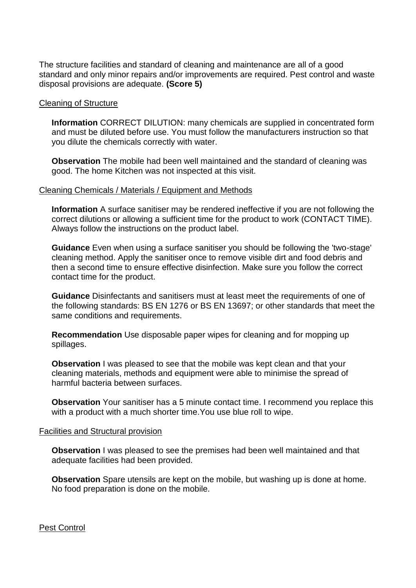The structure facilities and standard of cleaning and maintenance are all of a good standard and only minor repairs and/or improvements are required. Pest control and waste disposal provisions are adequate. **(Score 5)**

#### Cleaning of Structure

**Information** CORRECT DILUTION: many chemicals are supplied in concentrated form and must be diluted before use. You must follow the manufacturers instruction so that you dilute the chemicals correctly with water.

**Observation** The mobile had been well maintained and the standard of cleaning was good. The home Kitchen was not inspected at this visit.

#### Cleaning Chemicals / Materials / Equipment and Methods

**Information** A surface sanitiser may be rendered ineffective if you are not following the correct dilutions or allowing a sufficient time for the product to work (CONTACT TIME). Always follow the instructions on the product label.

**Guidance** Even when using a surface sanitiser you should be following the 'two-stage' cleaning method. Apply the sanitiser once to remove visible dirt and food debris and then a second time to ensure effective disinfection. Make sure you follow the correct contact time for the product.

**Guidance** Disinfectants and sanitisers must at least meet the requirements of one of the following standards: BS EN 1276 or BS EN 13697; or other standards that meet the same conditions and requirements.

**Recommendation** Use disposable paper wipes for cleaning and for mopping up spillages.

**Observation** I was pleased to see that the mobile was kept clean and that your cleaning materials, methods and equipment were able to minimise the spread of harmful bacteria between surfaces.

**Observation** Your sanitiser has a 5 minute contact time. I recommend you replace this with a product with a much shorter time.You use blue roll to wipe.

#### Facilities and Structural provision

**Observation** I was pleased to see the premises had been well maintained and that adequate facilities had been provided.

**Observation** Spare utensils are kept on the mobile, but washing up is done at home. No food preparation is done on the mobile.

Pest Control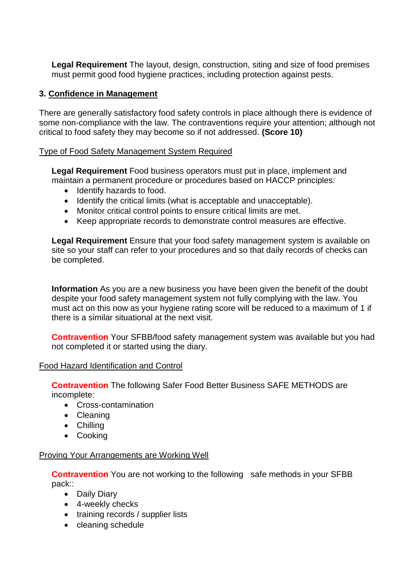**Legal Requirement** The layout, design, construction, siting and size of food premises must permit good food hygiene practices, including protection against pests.

# **3. Confidence in Management**

There are generally satisfactory food safety controls in place although there is evidence of some non-compliance with the law. The contraventions require your attention; although not critical to food safety they may become so if not addressed. **(Score 10)**

## Type of Food Safety Management System Required

**Legal Requirement** Food business operators must put in place, implement and maintain a permanent procedure or procedures based on HACCP principles:

- Identify hazards to food.
- Identify the critical limits (what is acceptable and unacceptable).
- Monitor critical control points to ensure critical limits are met.
- Keep appropriate records to demonstrate control measures are effective.

**Legal Requirement** Ensure that your food safety management system is available on site so your staff can refer to your procedures and so that daily records of checks can be completed.

**Information** As you are a new business you have been given the benefit of the doubt despite your food safety management system not fully complying with the law. You must act on this now as your hygiene rating score will be reduced to a maximum of 1 if there is a similar situational at the next visit.

**Contravention** Your SFBB/food safety management system was available but you had not completed it or started using the diary.

#### Food Hazard Identification and Control

**Contravention** The following Safer Food Better Business SAFE METHODS are incomplete:

- Cross-contamination
- Cleaning
- Chilling
- Cooking

#### Proving Your Arrangements are Working Well

**Contravention** You are not working to the following safe methods in your SFBB pack::

- Daily Diary
- 4-weekly checks
- training records / supplier lists
- cleaning schedule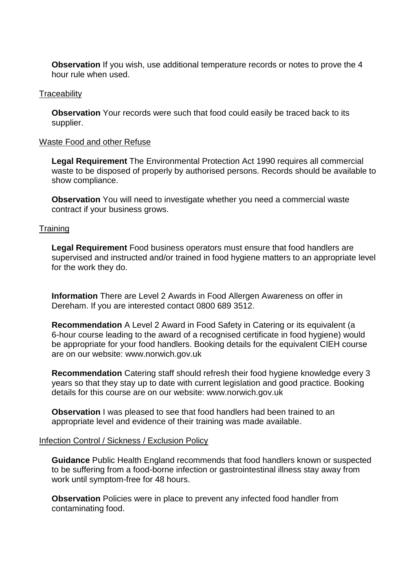**Observation** If you wish, use additional temperature records or notes to prove the 4 hour rule when used.

#### **Traceability**

**Observation** Your records were such that food could easily be traced back to its supplier.

#### Waste Food and other Refuse

**Legal Requirement** The Environmental Protection Act 1990 requires all commercial waste to be disposed of properly by authorised persons. Records should be available to show compliance.

**Observation** You will need to investigate whether you need a commercial waste contract if your business grows.

#### **Training**

**Legal Requirement** Food business operators must ensure that food handlers are supervised and instructed and/or trained in food hygiene matters to an appropriate level for the work they do.

**Information** There are Level 2 Awards in Food Allergen Awareness on offer in Dereham. If you are interested contact 0800 689 3512.

**Recommendation** A Level 2 Award in Food Safety in Catering or its equivalent (a 6-hour course leading to the award of a recognised certificate in food hygiene) would be appropriate for your food handlers. Booking details for the equivalent CIEH course are on our website: www.norwich.gov.uk

**Recommendation** Catering staff should refresh their food hygiene knowledge every 3 years so that they stay up to date with current legislation and good practice. Booking details for this course are on our website: www.norwich.gov.uk

**Observation** I was pleased to see that food handlers had been trained to an appropriate level and evidence of their training was made available.

#### Infection Control / Sickness / Exclusion Policy

**Guidance** Public Health England recommends that food handlers known or suspected to be suffering from a food-borne infection or gastrointestinal illness stay away from work until symptom-free for 48 hours.

**Observation** Policies were in place to prevent any infected food handler from contaminating food.